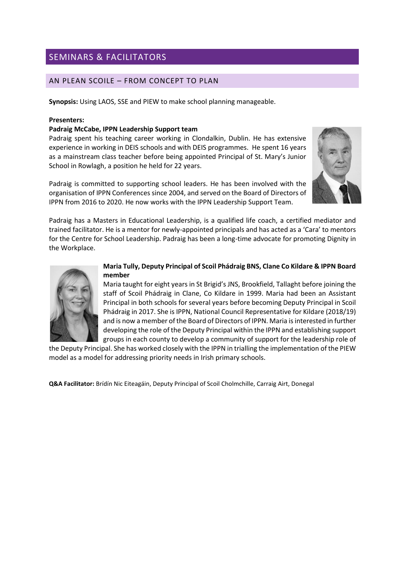# SEMINARS & FACILITATORS

# AN PLEAN SCOILE – FROM CONCEPT TO PLAN

**Synopsis:** Using LAOS, SSE and PIEW to make school planning manageable.

### **Presenters:**

### **Padraig McCabe, IPPN Leadership Support team**

Padraig spent his teaching career working in Clondalkin, Dublin. He has extensive experience in working in DEIS schools and with DEIS programmes. He spent 16 years as a mainstream class teacher before being appointed Principal of St. Mary's Junior School in Rowlagh, a position he held for 22 years.



Padraig has a Masters in Educational Leadership, is a qualified life coach, a certified mediator and trained facilitator. He is a mentor for newly-appointed principals and has acted as a 'Cara' to mentors for the Centre for School Leadership. Padraig has been a long-time advocate for promoting Dignity in the Workplace.



## **Maria Tully, Deputy Principal of Scoil Phádraig BNS, Clane Co Kildare & IPPN Board member**

Maria taught for eight years in St Brigid's JNS, Brookfield, Tallaght before joining the staff of Scoil Phádraig in Clane, Co Kildare in 1999. Maria had been an Assistant Principal in both schools for several years before becoming Deputy Principal in Scoil Phádraig in 2017. She is IPPN, National Council Representative for Kildare (2018/19) and is now a member of the Board of Directors of IPPN. Maria is interested in further developing the role of the Deputy Principal within the IPPN and establishing support groups in each county to develop a community of support for the leadership role of

the Deputy Principal. She has worked closely with the IPPN in trialling the implementation of the PIEW model as a model for addressing priority needs in Irish primary schools.

**Q&A Facilitator:** Brídín Nic Eiteagáin, Deputy Principal of Scoil Cholmchille, Carraig Airt, Donegal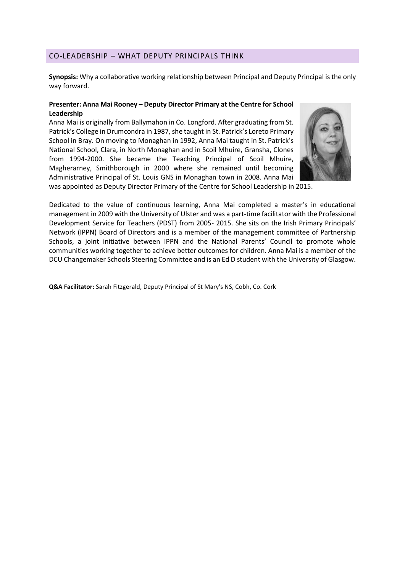## CO-LEADERSHIP – WHAT DEPUTY PRINCIPALS THINK

**Synopsis:** Why a collaborative working relationship between Principal and Deputy Principal is the only way forward.

### **Presenter: Anna Mai Rooney – Deputy Director Primary at the Centre for School Leadership**

Anna Mai is originally from Ballymahon in Co. Longford. After graduating from St. Patrick's College in Drumcondra in 1987, she taught in St. Patrick's Loreto Primary School in Bray. On moving to Monaghan in 1992, Anna Mai taught in St. Patrick's National School, Clara, in North Monaghan and in Scoil Mhuire, Gransha, Clones from 1994-2000. She became the Teaching Principal of Scoil Mhuire, Magherarney, Smithborough in 2000 where she remained until becoming Administrative Principal of St. Louis GNS in Monaghan town in 2008. Anna Mai was appointed as Deputy Director Primary of the Centre for School Leadership in 2015.



Dedicated to the value of continuous learning, Anna Mai completed a master's in educational management in 2009 with the University of Ulster and was a part-time facilitator with the Professional Development Service for Teachers (PDST) from 2005- 2015. She sits on the Irish Primary Principals' Network (IPPN) Board of Directors and is a member of the management committee of Partnership Schools, a joint initiative between IPPN and the National Parents' Council to promote whole communities working together to achieve better outcomes for children. Anna Mai is a member of the DCU Changemaker Schools Steering Committee and is an Ed D student with the University of Glasgow.

**Q&A Facilitator:** Sarah Fitzgerald, Deputy Principal of St Mary's NS, Cobh, Co. Cork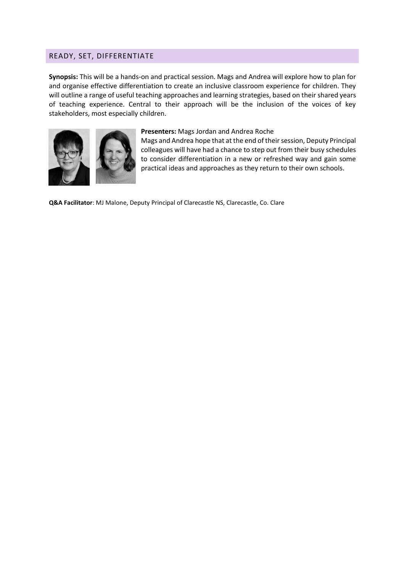# READY, SET, DIFFERENTIATE

**Synopsis:** This will be a hands-on and practical session. Mags and Andrea will explore how to plan for and organise effective differentiation to create an inclusive classroom experience for children. They will outline a range of useful teaching approaches and learning strategies, based on their shared years of teaching experience. Central to their approach will be the inclusion of the voices of key stakeholders, most especially children.



### **Presenters:** Mags Jordan and Andrea Roche

Mags and Andrea hope that at the end of their session, Deputy Principal colleagues will have had a chance to step out from their busy schedules to consider differentiation in a new or refreshed way and gain some practical ideas and approaches as they return to their own schools.

**Q&A Facilitator**: MJ Malone, Deputy Principal of Clarecastle NS, Clarecastle, Co. Clare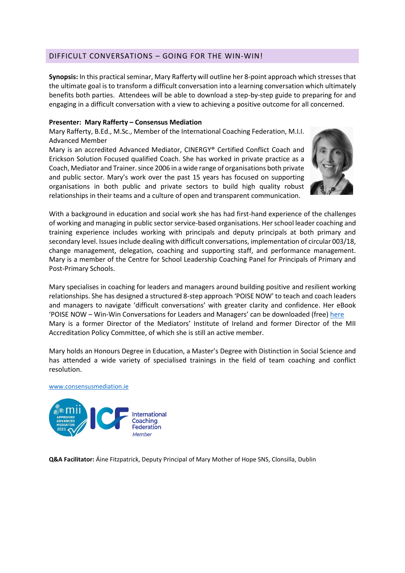# DIFFICULT CONVERSATIONS – GOING FOR THE WIN-WIN!

**Synopsis:** In this practical seminar, Mary Rafferty will outline her 8-point approach which stresses that the ultimate goal is to transform a difficult conversation into a learning conversation which ultimately benefits both parties. Attendees will be able to download a step-by-step guide to preparing for and engaging in a difficult conversation with a view to achieving a positive outcome for all concerned.

### **Presenter: Mary Rafferty – Consensus Mediation**

Mary Rafferty, B.Ed., M.Sc., Member of the International Coaching Federation, M.I.I. Advanced Member

Mary is an accredited Advanced Mediator, CINERGY® Certified Conflict Coach and Erickson Solution Focused qualified Coach. She has worked in private practice as a Coach, Mediator and Trainer. since 2006 in a wide range of organisations both private and public sector. Mary's work over the past 15 years has focused on supporting organisations in both public and private sectors to build high quality robust relationships in their teams and a culture of open and transparent communication.



With a background in education and social work she has had first-hand experience of the challenges of working and managing in public sector service-based organisations. Her school leader coaching and training experience includes working with principals and deputy principals at both primary and secondary level. Issues include dealing with difficult conversations, implementation of circular 003/18, change management, delegation, coaching and supporting staff, and performance management. Mary is a member of the Centre for School Leadership Coaching Panel for Principals of Primary and Post-Primary Schools.

Mary specialises in coaching for leaders and managers around building positive and resilient working relationships. She has designed a structured 8-step approach 'POISE NOW' to teach and coach leaders and managers to navigate 'difficult conversations' with greater clarity and confidence. Her eBook 'POISE NOW – Win-Win Conversations for Leaders and Managers' can be downloaded (free) [here](http://www.consensusmediation.ie/home/transform-difficult-conversations/) Mary is a former Director of the Mediators' Institute of Ireland and former Director of the MII Accreditation Policy Committee, of which she is still an active member.

Mary holds an Honours Degree in Education, a Master's Degree with Distinction in Social Science and has attended a wide variety of specialised trainings in the field of team coaching and conflict resolution.





**Q&A Facilitator:** Áine Fitzpatrick, Deputy Principal of Mary Mother of Hope SNS, Clonsilla, Dublin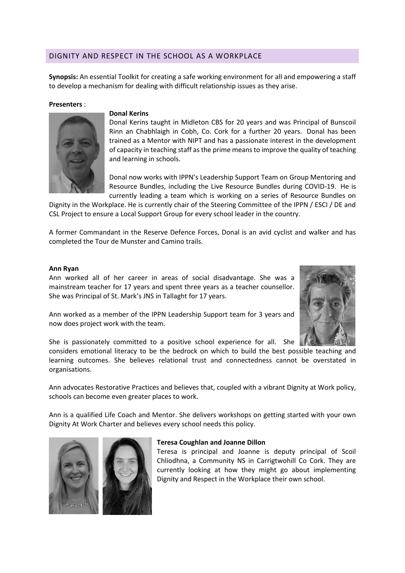# DIGNITY AND RESPECT IN THE SCHOOL AS A WORKPLACE

**Synopsis:** An essential Toolkit for creating a safe working environment for all and empowering a staff to develop a mechanism for dealing with difficult relationship issues as they arise.

#### **Presenters** :



#### **Donal Kerins**

Donal Kerins taught in Midleton CBS for 20 years and was Principal of Bunscoil Rinn an Chabhlaigh in Cobh, Co. Cork for a further 20 years. Donal has been trained as a Mentor with NIPT and has a passionate interest in the development of capacity in teaching staff as the prime means to improve the quality of teaching and learning in schools.

Donal now works with IPPN's Leadership Support Team on Group Mentoring and Resource Bundles, including the Live Resource Bundles during COVID-19. He is currently leading a team which is working on a series of Resource Bundles on

Dignity in the Workplace. He is currently chair of the Steering Committee of the IPPN / ESCI / DE and CSL Project to ensure a Local Support Group for every school leader in the country.

A former Commandant in the Reserve Defence Forces, Donal is an avid cyclist and walker and has completed the Tour de Munster and Camino trails.

#### **Ann Ryan**

Ann worked all of her career in areas of social disadvantage. She was a mainstream teacher for 17 years and spent three years as a teacher counsellor. She was Principal of St. Mark's JNS in Tallaght for 17 years.



Ann worked as a member of the IPPN Leadership Support team for 3 years and now does project work with the team.

She is passionately committed to a positive school experience for all. She

considers emotional literacy to be the bedrock on which to build the best possible teaching and learning outcomes. She believes relational trust and connectedness cannot be overstated in organisations.

Ann advocates Restorative Practices and believes that, coupled with a vibrant Dignity at Work policy, schools can become even greater places to work.

Ann is a qualified Life Coach and Mentor. She delivers workshops on getting started with your own Dignity At Work Charter and believes every school needs this policy.



### **Teresa Coughlan and Joanne Dillon**

Teresa is principal and Joanne is deputy principal of Scoil Chlíodhna, a Community NS in Carrigtwohill Co Cork. They are currently looking at how they might go about implementing Dignity and Respect in the Workplace their own school.